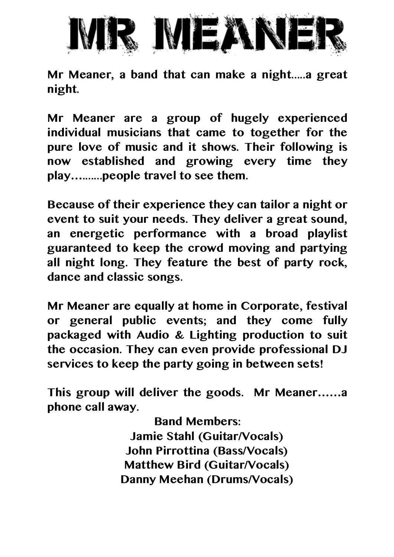

**Mr Meaner, a band that can make a night.....a great night.**

**Mr Meaner are a group of hugely experienced individual musicians that came to together for the pure love of music and it shows. Their following is now established and growing every time they play….......people travel to see them.**

**Because of their experience they can tailor a night or event to suit your needs. They deliver a great sound, an energetic performance with a broad playlist guaranteed to keep the crowd moving and partying all night long. They feature the best of party rock, dance and classic songs.** 

**Mr Meaner are equally at home in Corporate, festival or general public events; and they come fully packaged with Audio & Lighting production to suit the occasion. They can even provide professional DJ services to keep the party going in between sets!**

**This group will deliver the goods. Mr Meaner……a phone call away.**

> **Band Members: Jamie Stahl (Guitar/Vocals) John Pirrottina (Bass/Vocals) Matthew Bird (Guitar/Vocals) Danny Meehan (Drums/Vocals)**